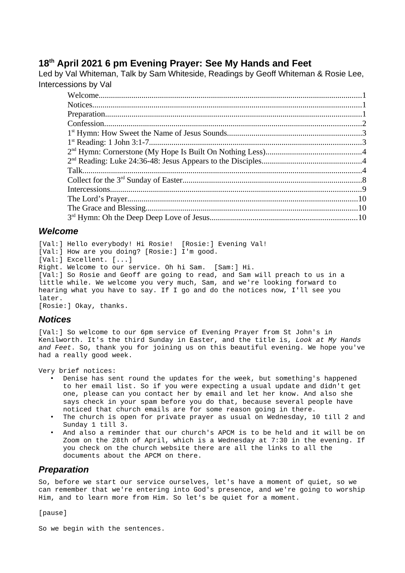# **18th April 2021 6 pm Evening Prayer: See My Hands and Feet**

Led by Val Whiteman, Talk by Sam Whiteside, Readings by Geoff Whiteman & Rosie Lee, Intercessions by Val

#### <span id="page-0-2"></span>*Welcome*

[Val:] Hello everybody! Hi Rosie! [Rosie:] Evening Val! [Val:] How are you doing? [Rosie:] I'm good. [Val:] Excellent. [...] Right. Welcome to our service. Oh hi Sam. [Sam:] Hi. [Val:] So Rosie and Geoff are going to read, and Sam will preach to us in a little while. We welcome you very much, Sam, and we're looking forward to hearing what you have to say. If I go and do the notices now, I'll see you later.

[Rosie:] Okay, thanks.

#### <span id="page-0-1"></span>*Notices*

[Val:] So welcome to our 6pm service of Evening Prayer from St John's in Kenilworth. It's the third Sunday in Easter, and the title is, *Look at My Hands and Feet*. So, thank you for joining us on this beautiful evening. We hope you've had a really good week.

Very brief notices:

- Denise has sent round the updates for the week, but something's happened to her email list. So if you were expecting a usual update and didn't get one, please can you contact her by email and let her know. And also she says check in your spam before you do that, because several people have noticed that church emails are for some reason going in there.
- The church is open for private prayer as usual on Wednesday, 10 till 2 and Sunday 1 till 3.
- And also a reminder that our church's APCM is to be held and it will be on Zoom on the 28th of April, which is a Wednesday at 7:30 in the evening. If you check on the church website there are all the links to all the documents about the APCM on there.

#### <span id="page-0-0"></span>*Preparation*

So, before we start our service ourselves, let's have a moment of quiet, so we can remember that we're entering into God's presence, and we're going to worship Him, and to learn more from Him. So let's be quiet for a moment.

[pause]

So we begin with the sentences.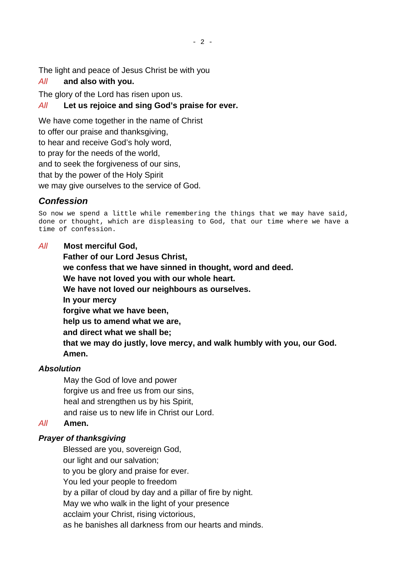The light and peace of Jesus Christ be with you

## *All* **and also with you.**

The glory of the Lord has risen upon us.

## *All* **Let us rejoice and sing God's praise for ever.**

We have come together in the name of Christ

to offer our praise and thanksgiving,

to hear and receive God's holy word,

to pray for the needs of the world,

and to seek the forgiveness of our sins,

that by the power of the Holy Spirit

we may give ourselves to the service of God.

# <span id="page-1-0"></span>*Confession*

So now we spend a little while remembering the things that we may have said, done or thought, which are displeasing to God, that our time where we have a time of confession.

### *All* **Most merciful God,**

**Father of our Lord Jesus Christ, we confess that we have sinned in thought, word and deed. We have not loved you with our whole heart. We have not loved our neighbours as ourselves. In your mercy forgive what we have been, help us to amend what we are, and direct what we shall be; that we may do justly, love mercy, and walk humbly with you, our God. Amen.**

## *Absolution*

May the God of love and power forgive us and free us from our sins, heal and strengthen us by his Spirit, and raise us to new life in Christ our Lord.

## *All* **Amen.**

## *Prayer of thanksgiving*

Blessed are you, sovereign God, our light and our salvation;

to you be glory and praise for ever.

You led your people to freedom

by a pillar of cloud by day and a pillar of fire by night.

May we who walk in the light of your presence

acclaim your Christ, rising victorious,

as he banishes all darkness from our hearts and minds.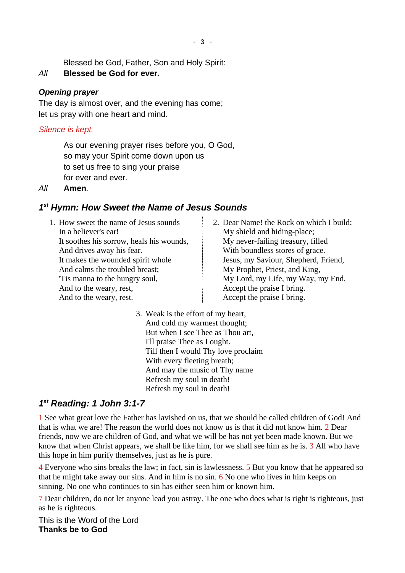- 3 -

Blessed be God, Father, Son and Holy Spirit:

## *All* **Blessed be God for ever.**

#### *Opening prayer*

The day is almost over, and the evening has come; let us pray with one heart and mind.

#### *Silence is kept.*

As our evening prayer rises before you, O God, so may your Spirit come down upon us to set us free to sing your praise for ever and ever.

#### *All* **Amen***.*

### <span id="page-2-1"></span>*1 st Hymn: How Sweet the Name of Jesus Sounds*

- 1. How sweet the name of Jesus sounds In a believer's ear! It soothes his sorrow, heals his wounds, And drives away his fear. It makes the wounded spirit whole And calms the troubled breast; 'Tis manna to the hungry soul, And to the weary, rest, And to the weary, rest.
- 2. Dear Name! the Rock on which I build; My shield and hiding-place; My never-failing treasury, filled With boundless stores of grace. Jesus, my Saviour, Shepherd, Friend, My Prophet, Priest, and King, My Lord, my Life, my Way, my End, Accept the praise I bring. Accept the praise I bring.
- 3. Weak is the effort of my heart, And cold my warmest thought; But when I see Thee as Thou art, I'll praise Thee as I ought. Till then I would Thy love proclaim With every fleeting breath; And may the music of Thy name Refresh my soul in death! Refresh my soul in death!

### <span id="page-2-0"></span>*1 st Reading: 1 John 3:1-7*

1 See what great love the Father has lavished on us, that we should be called children of God! And that is what we are! The reason the world does not know us is that it did not know him. 2 Dear friends, now we are children of God, and what we will be has not yet been made known. But we know that when Christ appears, we shall be like him, for we shall see him as he is. 3 All who have this hope in him purify themselves, just as he is pure.

4 Everyone who sins breaks the law; in fact, sin is lawlessness. 5 But you know that he appeared so that he might take away our sins. And in him is no sin. 6 No one who lives in him keeps on sinning. No one who continues to sin has either seen him or known him.

7 Dear children, do not let anyone lead you astray. The one who does what is right is righteous, just as he is righteous.

This is the Word of the Lord **Thanks be to God**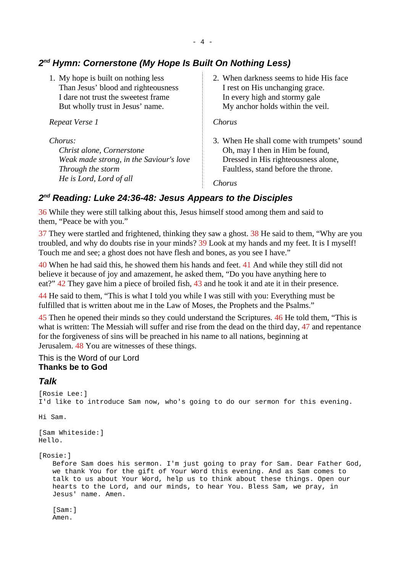## <span id="page-3-2"></span>*2 nd Hymn: Cornerstone (My Hope Is Built On Nothing Less)*

1. My hope is built on nothing less Than Jesus' blood and righteousness I dare not trust the sweetest frame But wholly trust in Jesus' name.

*Repeat Verse 1*

*Chorus:*

*Christ alone, Cornerstone Weak made strong, in the Saviour's love Through the storm He is Lord, Lord of all* 

2. When darkness seems to hide His face I rest on His unchanging grace. In every high and stormy gale My anchor holds within the veil.

*Chorus*

3. When He shall come with trumpets' sound Oh, may I then in Him be found, Dressed in His righteousness alone, Faultless, stand before the throne.

*Chorus*

# <span id="page-3-1"></span>*2 nd Reading: Luke 24:36-48: Jesus Appears to the Disciples*

36 While they were still talking about this, Jesus himself stood among them and said to them, "Peace be with you."

37 They were startled and frightened, thinking they saw a ghost. 38 He said to them, "Why are you troubled, and why do doubts rise in your minds? 39 Look at my hands and my feet. It is I myself! Touch me and see; a ghost does not have flesh and bones, as you see I have."

40 When he had said this, he showed them his hands and feet. 41 And while they still did not believe it because of joy and amazement, he asked them, "Do you have anything here to eat?" 42 They gave him a piece of broiled fish, 43 and he took it and ate it in their presence.

44 He said to them, "This is what I told you while I was still with you: Everything must be fulfilled that is written about me in the Law of Moses, the Prophets and the Psalms."

45 Then he opened their minds so they could understand the Scriptures. 46 He told them, "This is what is written: The Messiah will suffer and rise from the dead on the third day, 47 and repentance for the forgiveness of sins will be preached in his name to all nations, beginning at Jerusalem. 48 You are witnesses of these things.

#### This is the Word of our Lord **Thanks be to God**

## <span id="page-3-0"></span>*Talk*

```
[Rosie Lee:]
I'd like to introduce Sam now, who's going to do our sermon for this evening.
Hi Sam. 
[Sam Whiteside:] 
Hello. 
[Rosie:]
   Before Sam does his sermon. I'm just going to pray for Sam. Dear Father God,
   we thank You for the gift of Your Word this evening. And as Sam comes to 
   talk to us about Your Word, help us to think about these things. Open our 
   hearts to the Lord, and our minds, to hear You. Bless Sam, we pray, in 
   Jesus' name. Amen. 
   [Sam:]
   Amen.
```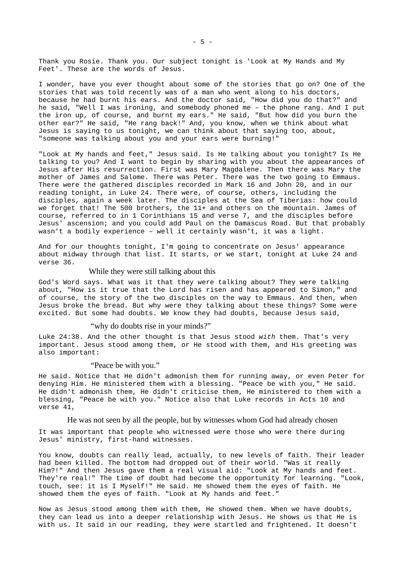Thank you Rosie. Thank you. Our subject tonight is 'Look at My Hands and My Feet'. These are the words of Jesus.

I wonder, have you ever thought about some of the stories that go on? One of the stories that was told recently was of a man who went along to his doctors, because he had burnt his ears. And the doctor said, "How did you do that?" and he said, "Well I was ironing, and somebody phoned me – the phone rang. And I put the iron up, of course, and burnt my ears." He said, "But how did you burn the other ear?" He said, "He rang back!" And, you know, when we think about what Jesus is saying to us tonight, we can think about that saying too, about, "someone was talking about you and your ears were burning!"

"Look at My hands and feet," Jesus said. Is He talking about you tonight? Is He talking to you? And I want to begin by sharing with you about the appearances of Jesus after His resurrection. First was Mary Magdalene. Then there was Mary the mother of James and Salome. There was Peter. There was the two going to Emmaus. There were the gathered disciples recorded in Mark 16 and John 20, and in our reading tonight, in Luke 24. There were, of course, others, including the disciples, again a week later. The disciples at the Sea of Tiberias: how could we forget that! The 500 brothers, the 11+ and others on the mountain. James of course, referred to in 1 Corinthians 15 and verse 7, and the disciples before Jesus' ascension; and you could add Paul on the Damascus Road. But that probably wasn't a bodily experience – well it certainly wasn't, it was a light.

And for our thoughts tonight, I'm going to concentrate on Jesus' appearance about midway through that list. It starts, or we start, tonight at Luke 24 and verse 36.

#### While they were still talking about this

God's Word says. What was it that they were talking about? They were talking about, "How is it true that the Lord has risen and has appeared to Simon," and of course, the story of the two disciples on the way to Emmaus. And then, when Jesus broke the bread. But why were they talking about these things? Some were excited. But some had doubts. We know they had doubts, because Jesus said,

#### "why do doubts rise in your minds?"

Luke 24:38. And the other thought is that Jesus stood *with* them. That's very important. Jesus stood among them, or He stood with them, and His greeting was also important:

#### "Peace be with you."

He said. Notice that He didn't admonish them for running away, or even Peter for denying Him. He ministered them with a blessing. "Peace be with you," He said. He didn't admonish them, He didn't criticise them, He ministered to them with a blessing, "Peace be with you." Notice also that Luke records in Acts 10 and verse 41,

He was not seen by all the people, but by witnesses whom God had already chosen

It was important that people who witnessed were those who were there during Jesus' ministry, first-hand witnesses.

You know, doubts can really lead, actually, to new levels of faith. Their leader had been killed. The bottom had dropped out of their world. "Was it really Him?!" And then Jesus gave them a real visual aid: "Look at My hands and feet. They're real!" The time of doubt had become the opportunity for learning. "Look, touch, see: it is I Myself!" He said. He showed them the eyes of faith. He showed them the eyes of faith. "Look at My hands and feet."

Now as Jesus stood among them with them, He showed them. When we have doubts, they can lead us into a deeper relationship with Jesus. He shows us that He is with us. It said in our reading, they were startled and frightened. It doesn't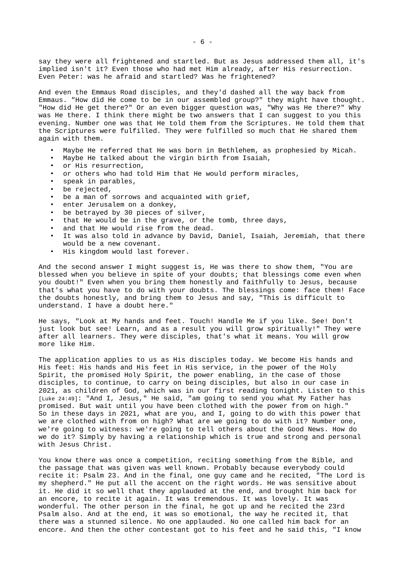say they were all frightened and startled. But as Jesus addressed them all, it's implied isn't it? Even those who had met Him already, after His resurrection. Even Peter: was he afraid and startled? Was he frightened?

And even the Emmaus Road disciples, and they'd dashed all the way back from Emmaus. "How did He come to be in our assembled group?" they might have thought. "How did He get there?" Or an even bigger question was, "Why was He there?" Why was He there. I think there might be two answers that I can suggest to you this evening. Number one was that He told them from the Scriptures. He told them that the Scriptures were fulfilled. They were fulfilled so much that He shared them again with them.

- Maybe He referred that He was born in Bethlehem, as prophesied by Micah.
- Maybe He talked about the virgin birth from Isaiah,
- or His resurrection,
- or others who had told Him that He would perform miracles,
- speak in parables,
- be rejected,
- be a man of sorrows and acquainted with grief,
- enter Jerusalem on a donkey,
- be betrayed by 30 pieces of silver,
- that He would be in the grave, or the tomb, three days,
- and that He would rise from the dead.
- It was also told in advance by David, Daniel, Isaiah, Jeremiah, that there would be a new covenant.
- His kingdom would last forever.

And the second answer I might suggest is, He was there to show them, "You are blessed when you believe in spite of your doubts; that blessings come even when you doubt!" Even when you bring them honestly and faithfully to Jesus, because that's what you have to do with your doubts. The blessings come: face them! Face the doubts honestly, and bring them to Jesus and say, "This is difficult to understand. I have a doubt here."

He says, "Look at My hands and feet. Touch! Handle Me if you like. See! Don't just look but see! Learn, and as a result you will grow spiritually!" They were after all learners. They were disciples, that's what it means. You will grow more like Him.

The application applies to us as His disciples today. We become His hands and His feet: His hands and His feet in His service, in the power of the Holy Spirit, the promised Holy Spirit, the power enabling, in the case of those disciples, to continue, to carry on being disciples, but also in our case in 2021, as children of God, which was in our first reading tonight. Listen to this [Luke 24:49]: "And I, Jesus," He said, "am going to send you what My Father has promised. But wait until you have been clothed with the power from on high." So in these days in 2021, what are you, and I, going to do with this power that we are clothed with from on high? What are we going to do with it? Number one, we're going to witness: we're going to tell others about the Good News. How do we do it? Simply by having a relationship which is true and strong and personal with Jesus Christ.

You know there was once a competition, reciting something from the Bible, and the passage that was given was well known. Probably because everybody could recite it: Psalm 23. And in the final, one guy came and he recited, "The Lord is my shepherd." He put all the accent on the right words. He was sensitive about it. He did it so well that they applauded at the end, and brought him back for an encore, to recite it again. It was tremendous. It was lovely. It was wonderful. The other person in the final, he got up and he recited the 23rd Psalm also. And at the end, it was so emotional, the way he recited it, that there was a stunned silence. No one applauded. No one called him back for an encore. And then the other contestant got to his feet and he said this, "I know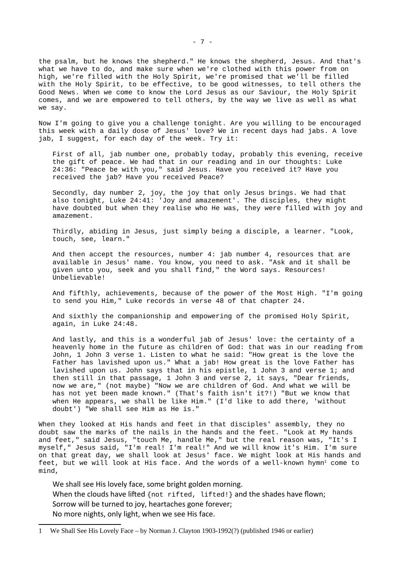the psalm, but he knows the shepherd." He knows the shepherd, Jesus. And that's what we have to do, and make sure when we're clothed with this power from on high, we're filled with the Holy Spirit, we're promised that we'll be filled with the Holy Spirit, to be effective, to be good witnesses, to tell others the Good News. When we come to know the Lord Jesus as our Saviour, the Holy Spirit comes, and we are empowered to tell others, by the way we live as well as what we say.

Now I'm going to give you a challenge tonight. Are you willing to be encouraged this week with a daily dose of Jesus' love? We in recent days had jabs. A love jab, I suggest, for each day of the week. Try it:

First of all, jab number one, probably today, probably this evening, receive the gift of peace. We had that in our reading and in our thoughts: Luke 24:36: "Peace be with you," said Jesus. Have you received it? Have you received the jab? Have you received Peace?

Secondly, day number 2, joy, the joy that only Jesus brings. We had that also tonight, Luke 24:41: 'Joy and amazement'. The disciples, they might have doubted but when they realise who He was, they were filled with joy and amazement.

Thirdly, abiding in Jesus, just simply being a disciple, a learner. "Look, touch, see, learn."

And then accept the resources, number 4: jab number 4, resources that are available in Jesus' name. You know, you need to ask. "Ask and it shall be given unto you, seek and you shall find," the Word says. Resources! Unbelievable!

And fifthly, achievements, because of the power of the Most High. "I'm going to send you Him," Luke records in verse 48 of that chapter 24.

And sixthly the companionship and empowering of the promised Holy Spirit, again, in Luke 24:48.

And lastly, and this is a wonderful jab of Jesus' love: the certainty of a heavenly home in the future as children of God: that was in our reading from John, 1 John 3 verse 1. Listen to what he said: "How great is the love the Father has lavished upon us." What a jab! How great is the love Father has lavished upon us. John says that in his epistle, 1 John 3 and verse 1; and then still in that passage, 1 John 3 and verse 2, it says, "Dear friends, now we are," (not maybe) "Now we are children of God. And what we will be has not yet been made known." (That's faith isn't it?!) "But we know that when He appears, we shall be like Him." (I'd like to add there, 'without doubt') "We shall see Him as He is."

When they looked at His hands and feet in that disciples' assembly, they no doubt saw the marks of the nails in the hands and the feet. "Look at My hands and feet," said Jesus, "touch Me, handle Me," but the real reason was, "It's I myself," Jesus said, "I'm real! I'm real!" And we will know it's Him. I'm sure on that great day, we shall look at Jesus' face. We might look at His hands and feet, but we will look at His face. And the words of a well-known hymn<sup>[1](#page-6-0)</sup> come to mind,

We shall see His lovely face, some bright golden morning. When the clouds have lifted {not rifted, lifted!} and the shades have flown; Sorrow will be turned to joy, heartaches gone forever; No more nights, only light, when we see His face.

<span id="page-6-0"></span><sup>1</sup> We Shall See His Lovely Face – by Norman J. Clayton 1903-1992(?) (published 1946 or earlier)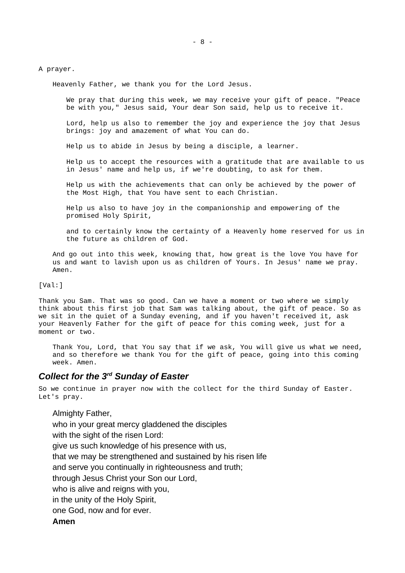- 8 -

A prayer.

Heavenly Father, we thank you for the Lord Jesus.

We pray that during this week, we may receive your gift of peace. "Peace be with you," Jesus said, Your dear Son said, help us to receive it.

Lord, help us also to remember the joy and experience the joy that Jesus brings: joy and amazement of what You can do.

Help us to abide in Jesus by being a disciple, a learner.

Help us to accept the resources with a gratitude that are available to us in Jesus' name and help us, if we're doubting, to ask for them.

Help us with the achievements that can only be achieved by the power of the Most High, that You have sent to each Christian.

Help us also to have joy in the companionship and empowering of the promised Holy Spirit,

and to certainly know the certainty of a Heavenly home reserved for us in the future as children of God.

And go out into this week, knowing that, how great is the love You have for us and want to lavish upon us as children of Yours. In Jesus' name we pray. Amen.

[Val:]

Thank you Sam. That was so good. Can we have a moment or two where we simply think about this first job that Sam was talking about, the gift of peace. So as we sit in the quiet of a Sunday evening, and if you haven't received it, ask your Heavenly Father for the gift of peace for this coming week, just for a moment or two.

Thank You, Lord, that You say that if we ask, You will give us what we need, and so therefore we thank You for the gift of peace, going into this coming week. Amen.

# <span id="page-7-0"></span>*Collect for the 3rd Sunday of Easter*

So we continue in prayer now with the collect for the third Sunday of Easter. Let's pray.

Almighty Father, who in your great mercy gladdened the disciples with the sight of the risen Lord: give us such knowledge of his presence with us, that we may be strengthened and sustained by his risen life and serve you continually in righteousness and truth; through Jesus Christ your Son our Lord, who is alive and reigns with you, in the unity of the Holy Spirit, one God, now and for ever. **Amen**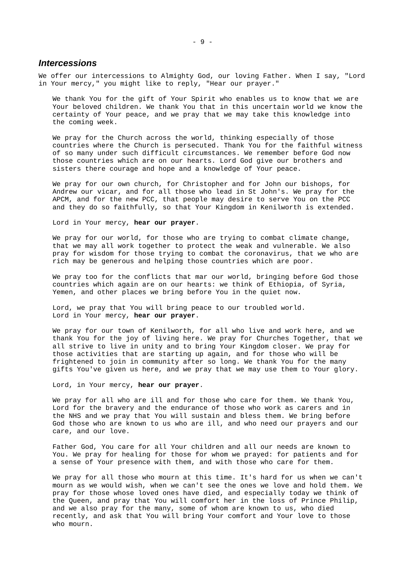#### <span id="page-8-0"></span>*Intercessions*

We offer our intercessions to Almighty God, our loving Father. When I say, "Lord in Your mercy," you might like to reply, "Hear our prayer."

We thank You for the gift of Your Spirit who enables us to know that we are Your beloved children. We thank You that in this uncertain world we know the certainty of Your peace, and we pray that we may take this knowledge into the coming week.

We pray for the Church across the world, thinking especially of those countries where the Church is persecuted. Thank You for the faithful witness of so many under such difficult circumstances. We remember before God now those countries which are on our hearts. Lord God give our brothers and sisters there courage and hope and a knowledge of Your peace.

We pray for our own church, for Christopher and for John our bishops, for Andrew our vicar, and for all those who lead in St John's. We pray for the APCM, and for the new PCC, that people may desire to serve You on the PCC and they do so faithfully, so that Your Kingdom in Kenilworth is extended.

Lord in Your mercy, **hear our prayer**.

We pray for our world, for those who are trying to combat climate change, that we may all work together to protect the weak and vulnerable. We also pray for wisdom for those trying to combat the coronavirus, that we who are rich may be generous and helping those countries which are poor.

We pray too for the conflicts that mar our world, bringing before God those countries which again are on our hearts: we think of Ethiopia, of Syria, Yemen, and other places we bring before You in the quiet now.

Lord, we pray that You will bring peace to our troubled world. Lord in Your mercy, **hear our prayer**.

We pray for our town of Kenilworth, for all who live and work here, and we thank You for the joy of living here. We pray for Churches Together, that we all strive to live in unity and to bring Your Kingdom closer. We pray for those activities that are starting up again, and for those who will be frightened to join in community after so long. We thank You for the many gifts You've given us here, and we pray that we may use them to Your glory.

Lord, in Your mercy, **hear our prayer**.

We pray for all who are ill and for those who care for them. We thank You, Lord for the bravery and the endurance of those who work as carers and in the NHS and we pray that You will sustain and bless them. We bring before God those who are known to us who are ill, and who need our prayers and our care, and our love.

Father God, You care for all Your children and all our needs are known to You. We pray for healing for those for whom we prayed: for patients and for a sense of Your presence with them, and with those who care for them.

We pray for all those who mourn at this time. It's hard for us when we can't mourn as we would wish, when we can't see the ones we love and hold them. We pray for those whose loved ones have died, and especially today we think of the Queen, and pray that You will comfort her in the loss of Prince Philip, and we also pray for the many, some of whom are known to us, who died recently, and ask that You will bring Your comfort and Your love to those who mourn.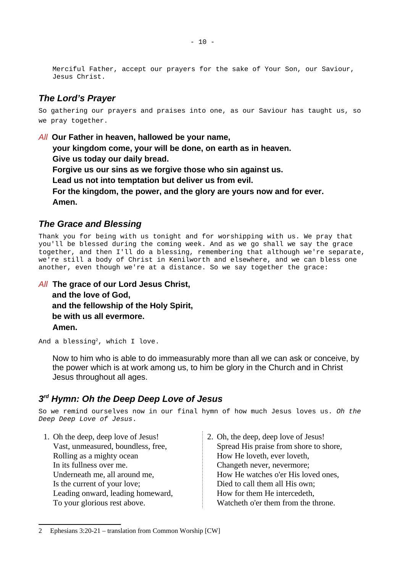Merciful Father, accept our prayers for the sake of Your Son, our Saviour, Jesus Christ.

## <span id="page-9-2"></span>*The Lord's Prayer*

So gathering our prayers and praises into one, as our Saviour has taught us, so we pray together.

*All* **Our Father in heaven, hallowed be your name, your kingdom come, your will be done, on earth as in heaven. Give us today our daily bread. Forgive us our sins as we forgive those who sin against us. Lead us not into temptation but deliver us from evil. For the kingdom, the power, and the glory are yours now and for ever. Amen.**

### <span id="page-9-1"></span>*The Grace and Blessing*

Thank you for being with us tonight and for worshipping with us. We pray that you'll be blessed during the coming week. And as we go shall we say the grace together, and then I'll do a blessing, remembering that although we're separate, we're still a body of Christ in Kenilworth and elsewhere, and we can bless one another, even though we're at a distance. So we say together the grace:

*All* **The grace of our Lord Jesus Christ, and the love of God, and the fellowship of the Holy Spirit, be with us all evermore. Amen.**

And a blessing<sup>[2](#page-9-3)</sup>, which I love.

Now to him who is able to do immeasurably more than all we can ask or conceive, by the power which is at work among us, to him be glory in the Church and in Christ Jesus throughout all ages.

### <span id="page-9-0"></span>*3 rd Hymn: Oh the Deep Deep Love of Jesus*

So we remind ourselves now in our final hymn of how much Jesus loves us. *Oh the Deep Deep Love of Jesus*.

- 1. Oh the deep, deep love of Jesus! Vast, unmeasured, boundless, free, Rolling as a mighty ocean In its fullness over me. Underneath me, all around me, Is the current of your love; Leading onward, leading homeward, To your glorious rest above.
- 2. Oh, the deep, deep love of Jesus! Spread His praise from shore to shore, How He loveth, ever loveth, Changeth never, nevermore; How He watches o'er His loved ones, Died to call them all His own; How for them He intercedeth, Watcheth o'er them from the throne.

<span id="page-9-3"></span><sup>2</sup> Ephesians 3:20-21 – translation from Common Worship [CW]